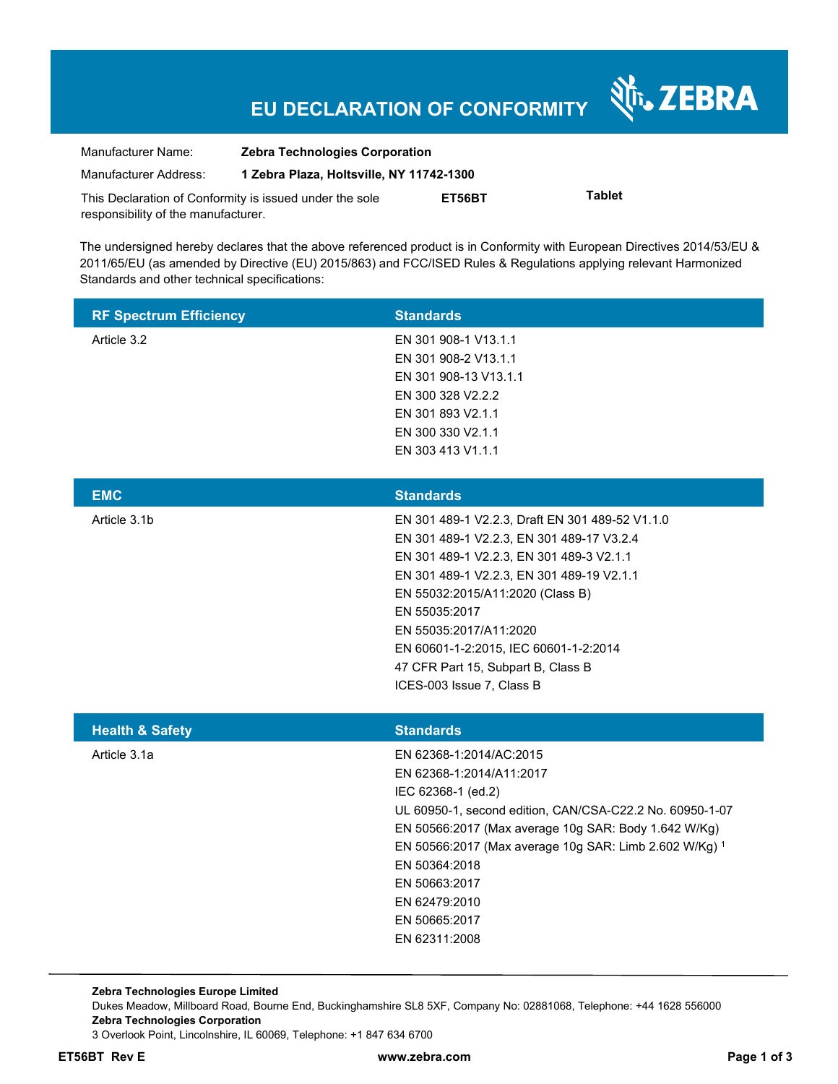# **EU DECLARATION OF CONFORMITY**

Nr. ZEBRA

| Manufacturer Name:                                      | <b>Zebra Technologies Corporation</b>    |        |               |  |
|---------------------------------------------------------|------------------------------------------|--------|---------------|--|
| Manufacturer Address:                                   | 1 Zebra Plaza, Holtsville, NY 11742-1300 |        |               |  |
| This Declaration of Conformity is issued under the sole |                                          | ET56BT | <b>Tablet</b> |  |
| responsibility of the manufacturer.                     |                                          |        |               |  |

The undersigned hereby declares that the above referenced product is in Conformity with European Directives 2014/53/EU & 2011/65/EU (as amended by Directive (EU) 2015/863) and FCC/ISED Rules & Regulations applying relevant Harmonized Standards and other technical specifications:

| <b>RF Spectrum Efficiency</b> | <b>Standards</b>                                                                                                                                                                                                                                                                                                                                                                 |
|-------------------------------|----------------------------------------------------------------------------------------------------------------------------------------------------------------------------------------------------------------------------------------------------------------------------------------------------------------------------------------------------------------------------------|
| Article 3.2                   | EN 301 908-1 V13.1.1<br>EN 301 908-2 V13.1.1<br>EN 301 908-13 V13.1.1<br>EN 300 328 V2.2.2<br>EN 301 893 V2.1.1<br>EN 300 330 V2.1.1<br>EN 303 413 V1.1.1                                                                                                                                                                                                                        |
| <b>EMC</b>                    | <b>Standards</b>                                                                                                                                                                                                                                                                                                                                                                 |
| Article 3.1b                  | EN 301 489-1 V2.2.3, Draft EN 301 489-52 V1.1.0<br>EN 301 489-1 V2.2.3, EN 301 489-17 V3.2.4<br>EN 301 489-1 V2.2.3, EN 301 489-3 V2.1.1<br>EN 301 489-1 V2.2.3, EN 301 489-19 V2.1.1<br>EN 55032:2015/A11:2020 (Class B)<br>EN 55035:2017<br>EN 55035:2017/A11:2020<br>EN 60601-1-2:2015, IEC 60601-1-2:2014<br>47 CFR Part 15, Subpart B, Class B<br>ICES-003 Issue 7, Class B |
| <b>Health &amp; Safety</b>    | <b>Standards</b>                                                                                                                                                                                                                                                                                                                                                                 |
| Article 3.1a                  | EN 62368-1:2014/AC:2015<br>EN 62368-1:2014/A11:2017<br>IEC 62368-1 (ed.2)<br>UL 60950-1, second edition, CAN/CSA-C22.2 No. 60950-1-07<br>EN 50566:2017 (Max average 10g SAR: Body 1.642 W/Kg)<br>EN 50566:2017 (Max average 10g SAR: Limb 2.602 W/Kg) 1<br>EN 50364:2018<br>EN 50663:2017<br>EN 62479:2010<br>EN 50665:2017<br>EN 62311:2008                                     |

**Zebra Technologies Europe Limited**  Dukes Meadow, Millboard Road, Bourne End, Buckinghamshire SL8 5XF, Company No: 02881068, Telephone: +44 1628 556000 **Zebra Technologies Corporation**  3 Overlook Point, Lincolnshire, IL 60069, Telephone: +1 847 634 6700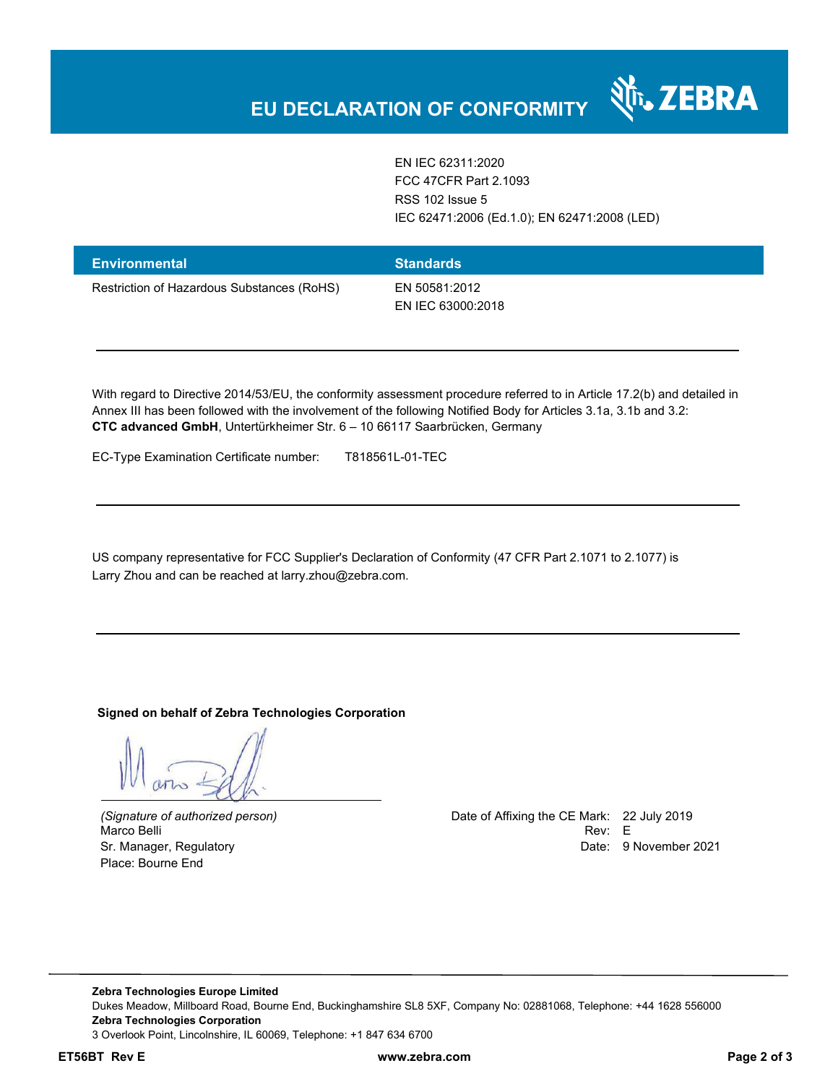EN IEC 62311:2020 FCC 47CFR Part 2.1093 RSS 102 Issue 5 IEC 62471:2006 (Ed.1.0); EN 62471:2008 (LED)

N<sub>I</sub> ZEBRA

| <b>Environmental</b>                       | <b>Standards</b>                   |
|--------------------------------------------|------------------------------------|
| Restriction of Hazardous Substances (RoHS) | EN 50581:2012<br>EN IEC 63000:2018 |

With regard to Directive 2014/53/EU, the conformity assessment procedure referred to in Article 17.2(b) and detailed in Annex III has been followed with the involvement of the following Notified Body for Articles 3.1a, 3.1b and 3.2: **CTC advanced GmbH**, Untertürkheimer Str. 6 – 10 66117 Saarbrücken, Germany

EC-Type Examination Certificate number: T818561L-01-TEC

US company representative for FCC Supplier's Declaration of Conformity (47 CFR Part 2.1071 to 2.1077) is Larry Zhou and can be reached at larry.zhou@zebra.com.

**Signed on behalf of Zebra Technologies Corporation** 

Place: Bourne End

*(Signature of authorized person)* Date of Affixing the CE Mark: 22 July 2019 Marco Belli Rev: E Sr. Manager, Regulatory **Date: 9 November 2021** 

**Zebra Technologies Europe Limited**  Dukes Meadow, Millboard Road, Bourne End, Buckinghamshire SL8 5XF, Company No: 02881068, Telephone: +44 1628 556000 **Zebra Technologies Corporation**  3 Overlook Point, Lincolnshire, IL 60069, Telephone: +1 847 634 6700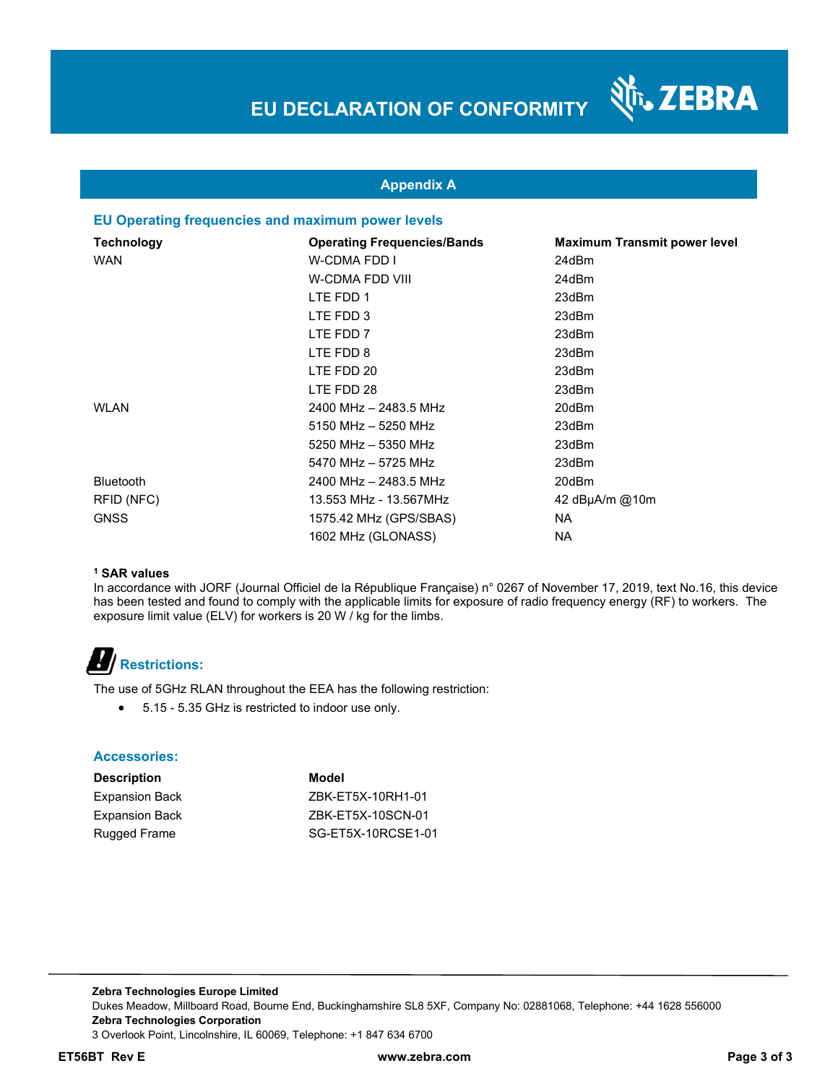

### **Appendix A**

### **EU Operating frequencies and maximum power levels**

| Technology       | <b>Operating Frequencies/Bands</b> | <b>Maximum Transmit power level</b> |
|------------------|------------------------------------|-------------------------------------|
| <b>WAN</b>       | W-CDMA FDD I                       | 24dBm                               |
|                  | W-CDMA FDD VIII                    | 24dBm                               |
|                  | LTE FDD 1                          | 23dBm                               |
|                  | LTE FDD 3                          | 23dBm                               |
|                  | LTE FDD 7                          | 23dBm                               |
|                  | LTE FDD 8                          | 23dBm                               |
|                  | LTE FDD 20                         | 23dBm                               |
|                  | LTE FDD 28                         | 23dBm                               |
| <b>WLAN</b>      | 2400 MHz - 2483.5 MHz              | 20dBm                               |
|                  | 5150 MHz - 5250 MHz                | 23dBm                               |
|                  | 5250 MHz - 5350 MHz                | 23dBm                               |
|                  | 5470 MHz - 5725 MHz                | 23dBm                               |
| <b>Bluetooth</b> | 2400 MHz - 2483.5 MHz              | 20dBm                               |
| RFID (NFC)       | 13.553 MHz - 13.567MHz             | 42 $dB\mu A/m$ @10m                 |
| <b>GNSS</b>      | 1575.42 MHz (GPS/SBAS)             | <b>NA</b>                           |
|                  | 1602 MHz (GLONASS)                 | NA.                                 |

#### **1 SAR values**

In accordance with JORF (Journal Officiel de la République Française) n° 0267 of November 17, 2019, text No.16, this device has been tested and found to comply with the applicable limits for exposure of radio frequency energy (RF) to workers. The exposure limit value (ELV) for workers is 20 W / kg for the limbs.

# **Restrictions:**

The use of 5GHz RLAN throughout the EEA has the following restriction:

5.15 - 5.35 GHz is restricted to indoor use only.

#### **Accessories:**

| <b>Description</b>    | Model              |
|-----------------------|--------------------|
| Expansion Back        | ZBK-ET5X-10RH1-01  |
| <b>Expansion Back</b> | ZBK-ET5X-10SCN-01  |
| Rugged Frame          | SG-ET5X-10RCSE1-01 |